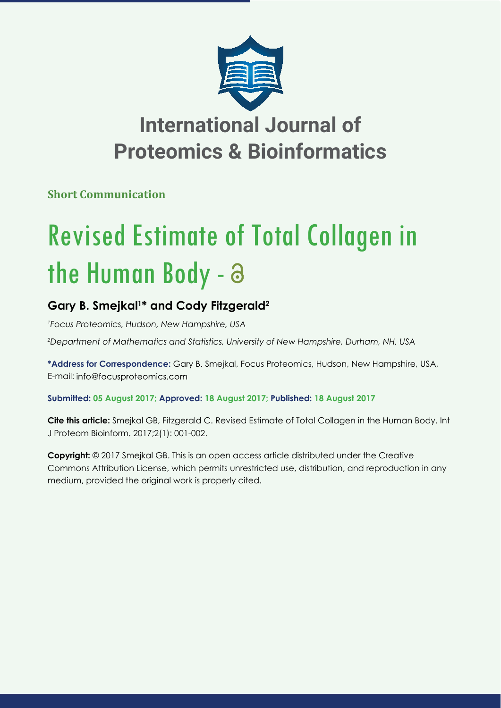

## **International Journal of Proteomics & Bioinformatics**

**Short Communication**

# Revised Estimate of Total Collagen in the Human Body - a

### **Gary B. Smejkal1 \* and Cody Fitzgerald2**

*1 Focus Proteomics, Hudson, New Hampshire, USA*

*2 Department of Mathematics and Statistics, University of New Hampshire, Durham, NH, USA*

**\*Address for Correspondence:** Gary B. Smejkal, Focus Proteomics, Hudson, New Hampshire, USA, E-mail: info@focusproteomics.com

**Submitted: 05 August 2017; Approved: 18 August 2017; Published: 18 August 2017**

**Cite this article:** Smejkal GB, Fitzgerald C. Revised Estimate of Total Collagen in the Human Body. Int J Proteom Bioinform. 2017;2(1): 001-002.

**Copyright:** © 2017 Smejkal GB. This is an open access article distributed under the Creative Commons Attribution License, which permits unrestricted use, distribution, and reproduction in any medium, provided the original work is properly cited.